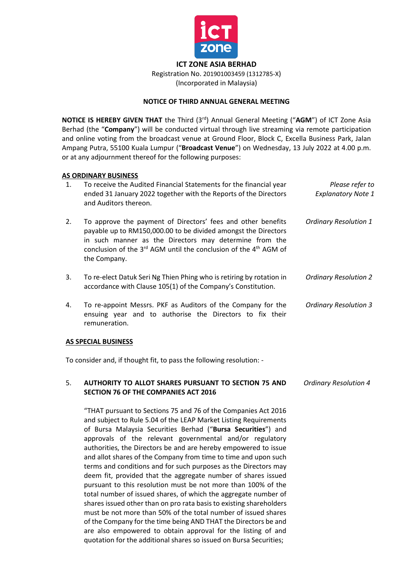

**ICT ZONE ASIA BERHAD**

Registration No. 201901003459 (1312785-X) (Incorporated in Malaysia)

# **NOTICE OF THIRD ANNUAL GENERAL MEETING**

**NOTICE IS HEREBY GIVEN THAT** the Third (3 rd) Annual General Meeting ("**AGM**") of ICT Zone Asia Berhad (the "**Company**") will be conducted virtual through live streaming via remote participation and online voting from the broadcast venue at Ground Floor, Block C, Excella Business Park, Jalan Ampang Putra, 55100 Kuala Lumpur ("**Broadcast Venue**") on Wednesday, 13 July 2022 at 4.00 p.m. or at any adjournment thereof for the following purposes:

### **AS ORDINARY BUSINESS**

| $\mathbf{1}$ . | To receive the Audited Financial Statements for the financial year<br>ended 31 January 2022 together with the Reports of the Directors<br>and Auditors thereon.                                                                                                                        | Please refer to<br><b>Explanatory Note 1</b> |
|----------------|----------------------------------------------------------------------------------------------------------------------------------------------------------------------------------------------------------------------------------------------------------------------------------------|----------------------------------------------|
| 2.             | To approve the payment of Directors' fees and other benefits<br>payable up to RM150,000.00 to be divided amongst the Directors<br>in such manner as the Directors may determine from the<br>conclusion of the $3^{rd}$ AGM until the conclusion of the $4^{th}$ AGM of<br>the Company. | <b>Ordinary Resolution 1</b>                 |
| 3.             | To re-elect Datuk Seri Ng Thien Phing who is retiring by rotation in<br>accordance with Clause 105(1) of the Company's Constitution.                                                                                                                                                   | <b>Ordinary Resolution 2</b>                 |
| 4.             | To re-appoint Messrs. PKF as Auditors of the Company for the<br>ensuing year and to authorise the Directors to fix their<br>remuneration.                                                                                                                                              | <b>Ordinary Resolution 3</b>                 |

#### **AS SPECIAL BUSINESS**

To consider and, if thought fit, to pass the following resolution: -

#### 5. **AUTHORITY TO ALLOT SHARES PURSUANT TO SECTION 75 AND SECTION 76 OF THE COMPANIES ACT 2016** *Ordinary Resolution 4*

"THAT pursuant to Sections 75 and 76 of the Companies Act 2016 and subject to Rule 5.04 of the LEAP Market Listing Requirements of Bursa Malaysia Securities Berhad ("**Bursa Securities**") and approvals of the relevant governmental and/or regulatory authorities, the Directors be and are hereby empowered to issue and allot shares of the Company from time to time and upon such terms and conditions and for such purposes as the Directors may deem fit, provided that the aggregate number of shares issued pursuant to this resolution must be not more than 100% of the total number of issued shares, of which the aggregate number of shares issued other than on pro rata basis to existing shareholders must be not more than 50% of the total number of issued shares of the Company for the time being AND THAT the Directors be and are also empowered to obtain approval for the listing of and quotation for the additional shares so issued on Bursa Securities;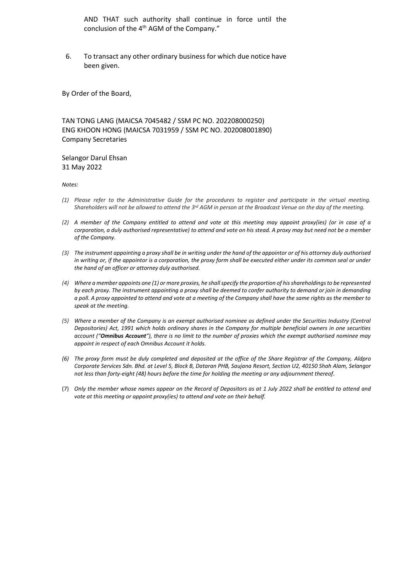AND THAT such authority shall continue in force until the conclusion of the 4<sup>th</sup> AGM of the Company."

6. To transact any other ordinary business for which due notice have been given.

By Order of the Board,

TAN TONG LANG (MAICSA 7045482 / SSM PC NO. 202208000250) ENG KHOON HONG (MAICSA 7031959 / SSM PC NO. 202008001890) Company Secretaries

Selangor Darul Ehsan 31 May 2022

*Notes:*

- *(1) Please refer to the Administrative Guide for the procedures to register and participate in the virtual meeting. Shareholders will not be allowed to attend the 3 rd AGM in person at the Broadcast Venue on the day of the meeting.*
- *(2) A member of the Company entitled to attend and vote at this meeting may appoint proxy(ies) (or in case of a corporation, a duly authorised representative) to attend and vote on his stead. A proxy may but need not be a member of the Company.*
- *(3) The instrument appointing a proxy shall be in writing under the hand of the appointor or of his attorney duly authorised in writing or, if the appointor is a corporation, the proxy form shall be executed either under its common seal or under the hand of an officer or attorney duly authorised.*
- *(4) Where a member appoints one (1) or more proxies, he shall specify the proportion of his shareholdings to be represented by each proxy. The instrument appointing a proxy shall be deemed to confer authority to demand or join in demanding a poll. A proxy appointed to attend and vote at a meeting of the Company shall have the same rights as the member to speak at the meeting.*
- *(5) Where a member of the Company is an exempt authorised nominee as defined under the Securities Industry (Central Depositories) Act, 1991 which holds ordinary shares in the Company for multiple beneficial owners in one securities account ("Omnibus Account"), there is no limit to the number of proxies which the exempt authorised nominee may appoint in respect of each Omnibus Account it holds.*
- *(6) The proxy form must be duly completed and deposited at the office of the Share Registrar of the Company, Aldpro Corporate Services Sdn. Bhd. at Level 5, Block B, Dataran PHB, Saujana Resort, Section U2, 40150 Shah Alam, Selangor not less than forty-eight (48) hours before the time for holding the meeting or any adjournment thereof.*
- (7) *Only the member whose names appear on the Record of Depositors as at 1 July 2022 shall be entitled to attend and vote at this meeting or appoint proxy(ies) to attend and vote on their behalf.*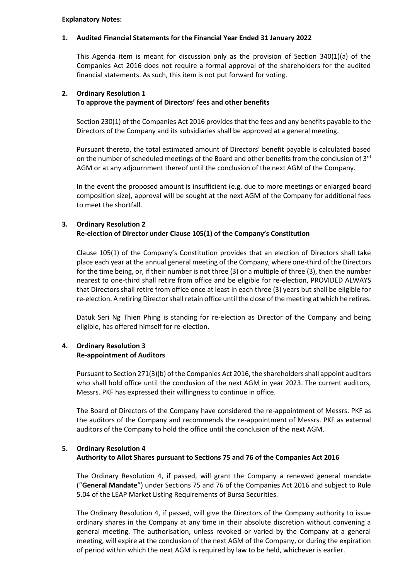#### **Explanatory Notes:**

#### **1. Audited Financial Statements for the Financial Year Ended 31 January 2022**

This Agenda item is meant for discussion only as the provision of Section 340(1)(a) of the Companies Act 2016 does not require a formal approval of the shareholders for the audited financial statements. As such, this item is not put forward for voting.

#### **2. Ordinary Resolution 1 To approve the payment of Directors' fees and other benefits**

Section 230(1) of the Companies Act 2016 provides that the fees and any benefits payable to the Directors of the Company and its subsidiaries shall be approved at a general meeting.

Pursuant thereto, the total estimated amount of Directors' benefit payable is calculated based on the number of scheduled meetings of the Board and other benefits from the conclusion of 3<sup>rd</sup> AGM or at any adjournment thereof until the conclusion of the next AGM of the Company.

In the event the proposed amount is insufficient (e.g. due to more meetings or enlarged board composition size), approval will be sought at the next AGM of the Company for additional fees to meet the shortfall.

### **3. Ordinary Resolution 2 Re-election of Director under Clause 105(1) of the Company's Constitution**

Clause 105(1) of the Company's Constitution provides that an election of Directors shall take place each year at the annual general meeting of the Company, where one-third of the Directors for the time being, or, if their number is not three (3) or a multiple of three (3), then the number nearest to one-third shall retire from office and be eligible for re-election, PROVIDED ALWAYS that Directors shall retire from office once at least in each three (3) years but shall be eligible for re-election. A retiring Director shall retain office until the close of the meeting at which he retires.

Datuk Seri Ng Thien Phing is standing for re-election as Director of the Company and being eligible, has offered himself for re-election.

### **4. Ordinary Resolution 3 Re-appointment of Auditors**

Pursuant to Section 271(3)(b) of the Companies Act 2016, the shareholders shall appoint auditors who shall hold office until the conclusion of the next AGM in year 2023. The current auditors, Messrs. PKF has expressed their willingness to continue in office.

The Board of Directors of the Company have considered the re-appointment of Messrs. PKF as the auditors of the Company and recommends the re-appointment of Messrs. PKF as external auditors of the Company to hold the office until the conclusion of the next AGM.

## **5. Ordinary Resolution 4 Authority to Allot Shares pursuant to Sections 75 and 76 of the Companies Act 2016**

The Ordinary Resolution 4, if passed, will grant the Company a renewed general mandate ("**General Mandate**") under Sections 75 and 76 of the Companies Act 2016 and subject to Rule 5.04 of the LEAP Market Listing Requirements of Bursa Securities.

The Ordinary Resolution 4, if passed, will give the Directors of the Company authority to issue ordinary shares in the Company at any time in their absolute discretion without convening a general meeting. The authorisation, unless revoked or varied by the Company at a general meeting, will expire at the conclusion of the next AGM of the Company, or during the expiration of period within which the next AGM is required by law to be held, whichever is earlier.